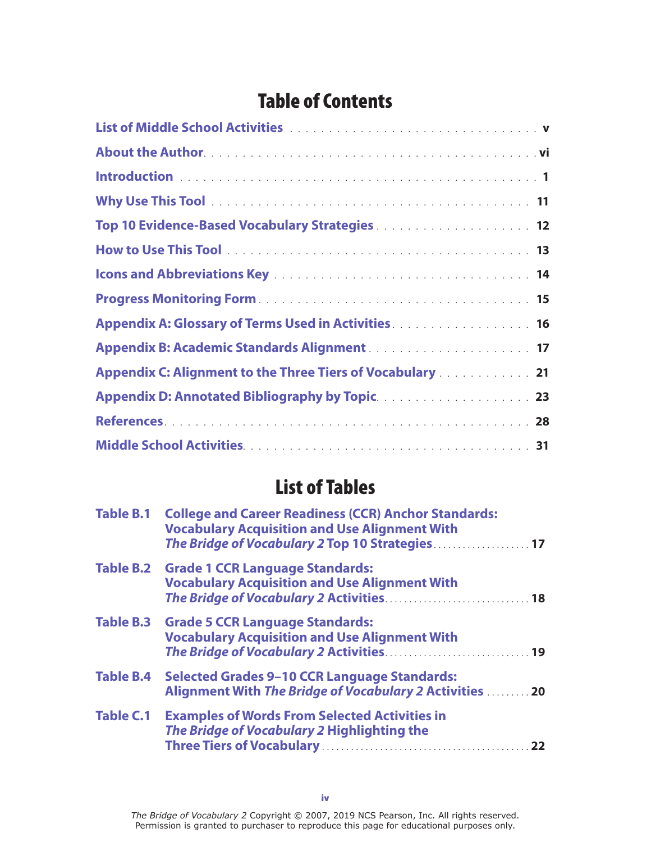## Table of Contents

| Top 10 Evidence-Based Vocabulary Strategies 12                                                                                                                                                             |
|------------------------------------------------------------------------------------------------------------------------------------------------------------------------------------------------------------|
|                                                                                                                                                                                                            |
|                                                                                                                                                                                                            |
|                                                                                                                                                                                                            |
| Appendix A: Glossary of Terms Used in Activities <b>Activities Activities Activities Activities Activities Activities Activities Activities Activities Activities Activities Activities Activities Act</b> |
|                                                                                                                                                                                                            |
| Appendix C: Alignment to the Three Tiers of Vocabulary 21                                                                                                                                                  |
|                                                                                                                                                                                                            |
|                                                                                                                                                                                                            |
|                                                                                                                                                                                                            |

## List of Tables

| <b>Table B.1</b> | <b>College and Career Readiness (CCR) Anchor Standards:</b><br><b>Vocabulary Acquisition and Use Alignment With</b><br>The Bridge of Vocabulary 2 Top 10 Strategies 17 |  |
|------------------|------------------------------------------------------------------------------------------------------------------------------------------------------------------------|--|
|                  | Table B.2 Grade 1 CCR Language Standards:<br><b>Vocabulary Acquisition and Use Alignment With</b>                                                                      |  |
|                  | Table B.3 Grade 5 CCR Language Standards:<br><b>Vocabulary Acquisition and Use Alignment With</b>                                                                      |  |
| <b>Table B.4</b> | <b>Selected Grades 9-10 CCR Language Standards:</b><br>Alignment With The Bridge of Vocabulary 2 Activities  20                                                        |  |
| <b>Table C.1</b> | <b>Examples of Words From Selected Activities in</b><br>The Bridge of Vocabulary 2 Highlighting the                                                                    |  |